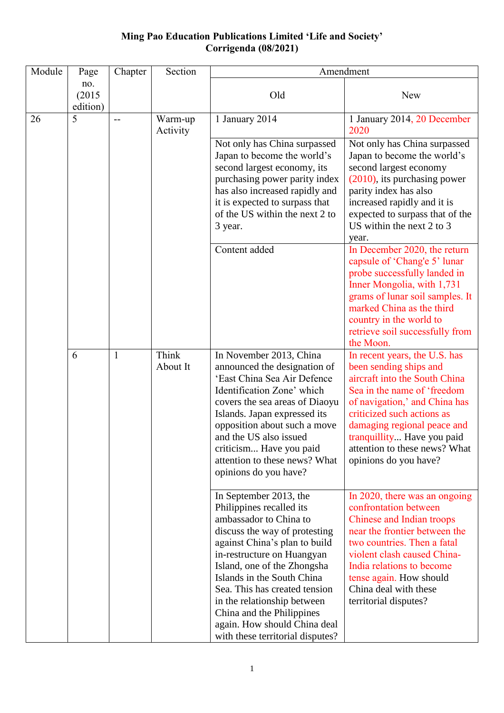## **Ming Pao Education Publications Limited 'Life and Society' Corrigenda (08/2021)**

| Module | Page                      | Chapter | Section             | Amendment                                                                                                                                                                                                                                                                                                                                                                                                  |                                                                                                                                                                                                                                                                                                               |
|--------|---------------------------|---------|---------------------|------------------------------------------------------------------------------------------------------------------------------------------------------------------------------------------------------------------------------------------------------------------------------------------------------------------------------------------------------------------------------------------------------------|---------------------------------------------------------------------------------------------------------------------------------------------------------------------------------------------------------------------------------------------------------------------------------------------------------------|
|        | no.<br>(2015)<br>edition) |         |                     | Old                                                                                                                                                                                                                                                                                                                                                                                                        | New                                                                                                                                                                                                                                                                                                           |
| 26     | 5                         | --      | Warm-up<br>Activity | 1 January 2014                                                                                                                                                                                                                                                                                                                                                                                             | 1 January 2014, 20 December<br>2020                                                                                                                                                                                                                                                                           |
|        |                           |         |                     | Not only has China surpassed<br>Japan to become the world's<br>second largest economy, its<br>purchasing power parity index<br>has also increased rapidly and<br>it is expected to surpass that<br>of the US within the next 2 to<br>3 year.                                                                                                                                                               | Not only has China surpassed<br>Japan to become the world's<br>second largest economy<br>$(2010)$ , its purchasing power<br>parity index has also<br>increased rapidly and it is<br>expected to surpass that of the<br>US within the next 2 to 3<br>year.                                                     |
|        |                           |         |                     | Content added                                                                                                                                                                                                                                                                                                                                                                                              | In December 2020, the return<br>capsule of 'Chang'e 5' lunar<br>probe successfully landed in<br>Inner Mongolia, with 1,731<br>grams of lunar soil samples. It<br>marked China as the third<br>country in the world to<br>retrieve soil successfully from<br>the Moon.                                         |
|        | 6                         | 1       | Think<br>About It   | In November 2013, China<br>announced the designation of<br>'East China Sea Air Defence<br>Identification Zone' which<br>covers the sea areas of Diaoyu<br>Islands. Japan expressed its<br>opposition about such a move<br>and the US also issued<br>criticism Have you paid<br>attention to these news? What<br>opinions do you have?                                                                      | In recent years, the U.S. has<br>been sending ships and<br>aircraft into the South China<br>Sea in the name of 'freedom<br>of navigation,' and China has<br>criticized such actions as<br>damaging regional peace and<br>tranquillity Have you paid<br>attention to these news? What<br>opinions do you have? |
|        |                           |         |                     | In September 2013, the<br>Philippines recalled its<br>ambassador to China to<br>discuss the way of protesting<br>against China's plan to build<br>in-restructure on Huangyan<br>Island, one of the Zhongsha<br>Islands in the South China<br>Sea. This has created tension<br>in the relationship between<br>China and the Philippines<br>again. How should China deal<br>with these territorial disputes? | In 2020, there was an ongoing<br>confrontation between<br><b>Chinese and Indian troops</b><br>near the frontier between the<br>two countries. Then a fatal<br>violent clash caused China-<br>India relations to become<br>tense again. How should<br>China deal with these<br>territorial disputes?           |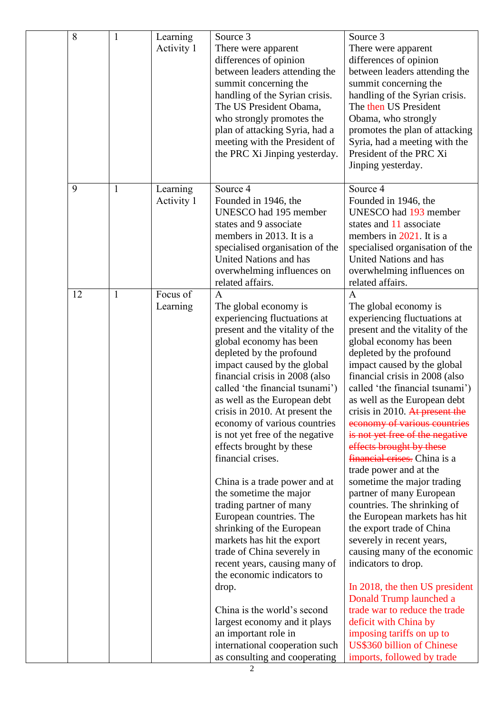| 8  | $\mathbf{1}$ | Learning<br>Activity 1 | Source 3<br>There were apparent<br>differences of opinion<br>between leaders attending the<br>summit concerning the<br>handling of the Syrian crisis.<br>The US President Obama,<br>who strongly promotes the<br>plan of attacking Syria, had a<br>meeting with the President of<br>the PRC Xi Jinping yesterday.                                                                                                                                                                                                                                                                                                                                                                                                                                                                                                                                                                                     | Source 3<br>There were apparent<br>differences of opinion<br>between leaders attending the<br>summit concerning the<br>handling of the Syrian crisis.<br>The then US President<br>Obama, who strongly<br>promotes the plan of attacking<br>Syria, had a meeting with the<br>President of the PRC Xi<br>Jinping yesterday.                                                                                                                                                                                                                                                                                                                                                                                                                                                                                                                                                                                                                                         |
|----|--------------|------------------------|-------------------------------------------------------------------------------------------------------------------------------------------------------------------------------------------------------------------------------------------------------------------------------------------------------------------------------------------------------------------------------------------------------------------------------------------------------------------------------------------------------------------------------------------------------------------------------------------------------------------------------------------------------------------------------------------------------------------------------------------------------------------------------------------------------------------------------------------------------------------------------------------------------|-------------------------------------------------------------------------------------------------------------------------------------------------------------------------------------------------------------------------------------------------------------------------------------------------------------------------------------------------------------------------------------------------------------------------------------------------------------------------------------------------------------------------------------------------------------------------------------------------------------------------------------------------------------------------------------------------------------------------------------------------------------------------------------------------------------------------------------------------------------------------------------------------------------------------------------------------------------------|
| 9  | $\mathbf{1}$ | Learning<br>Activity 1 | Source 4<br>Founded in 1946, the<br>UNESCO had 195 member<br>states and 9 associate<br>members in 2013. It is a<br>specialised organisation of the<br><b>United Nations and has</b><br>overwhelming influences on<br>related affairs.                                                                                                                                                                                                                                                                                                                                                                                                                                                                                                                                                                                                                                                                 | Source 4<br>Founded in 1946, the<br>UNESCO had 193 member<br>states and 11 associate<br>members in 2021. It is a<br>specialised organisation of the<br>United Nations and has<br>overwhelming influences on<br>related affairs.                                                                                                                                                                                                                                                                                                                                                                                                                                                                                                                                                                                                                                                                                                                                   |
| 12 | $\mathbf{1}$ | Focus of<br>Learning   | $\mathbf{A}$<br>The global economy is<br>experiencing fluctuations at<br>present and the vitality of the<br>global economy has been<br>depleted by the profound<br>impact caused by the global<br>financial crisis in 2008 (also<br>called 'the financial tsunami')<br>as well as the European debt<br>crisis in 2010. At present the<br>economy of various countries<br>is not yet free of the negative<br>effects brought by these<br>financial crises.<br>China is a trade power and at<br>the sometime the major<br>trading partner of many<br>European countries. The<br>shrinking of the European<br>markets has hit the export<br>trade of China severely in<br>recent years, causing many of<br>the economic indicators to<br>drop.<br>China is the world's second<br>largest economy and it plays<br>an important role in<br>international cooperation such<br>as consulting and cooperating | $\overline{A}$<br>The global economy is<br>experiencing fluctuations at<br>present and the vitality of the<br>global economy has been<br>depleted by the profound<br>impact caused by the global<br>financial crisis in 2008 (also<br>called 'the financial tsunami')<br>as well as the European debt<br>crisis in 2010. At present the<br>economy of various countries<br>is not yet free of the negative<br>effects brought by these<br>financial crises. China is a<br>trade power and at the<br>sometime the major trading<br>partner of many European<br>countries. The shrinking of<br>the European markets has hit<br>the export trade of China<br>severely in recent years,<br>causing many of the economic<br>indicators to drop.<br>In 2018, the then US president<br>Donald Trump launched a<br>trade war to reduce the trade<br>deficit with China by<br>imposing tariffs on up to<br><b>US\$360 billion of Chinese</b><br>imports, followed by trade |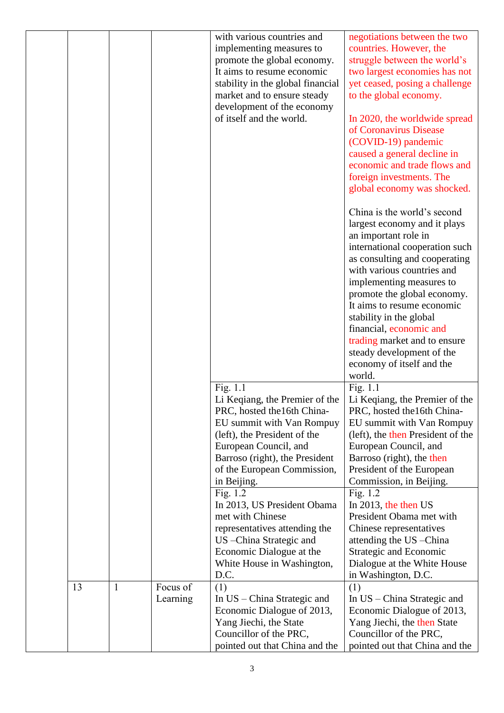|    |              |          | with various countries and<br>implementing measures to<br>promote the global economy.<br>It aims to resume economic<br>stability in the global financial<br>market and to ensure steady<br>development of the economy<br>of itself and the world. | negotiations between the two<br>countries. However, the<br>struggle between the world's<br>two largest economies has not<br>yet ceased, posing a challenge<br>to the global economy.<br>In 2020, the worldwide spread<br>of Coronavirus Disease<br>(COVID-19) pandemic<br>caused a general decline in<br>economic and trade flows and<br>foreign investments. The<br>global economy was shocked.<br>China is the world's second<br>largest economy and it plays<br>an important role in<br>international cooperation such<br>as consulting and cooperating<br>with various countries and<br>implementing measures to<br>promote the global economy.<br>It aims to resume economic<br>stability in the global<br>financial, economic and<br>trading market and to ensure<br>steady development of the<br>economy of itself and the<br>world. |
|----|--------------|----------|---------------------------------------------------------------------------------------------------------------------------------------------------------------------------------------------------------------------------------------------------|---------------------------------------------------------------------------------------------------------------------------------------------------------------------------------------------------------------------------------------------------------------------------------------------------------------------------------------------------------------------------------------------------------------------------------------------------------------------------------------------------------------------------------------------------------------------------------------------------------------------------------------------------------------------------------------------------------------------------------------------------------------------------------------------------------------------------------------------|
|    |              |          | Fig. 1.1                                                                                                                                                                                                                                          | Fig. 1.1                                                                                                                                                                                                                                                                                                                                                                                                                                                                                                                                                                                                                                                                                                                                                                                                                                    |
|    |              |          | Li Keqiang, the Premier of the<br>PRC, hosted the 16th China-                                                                                                                                                                                     | Li Keqiang, the Premier of the<br>PRC, hosted the 16th China-                                                                                                                                                                                                                                                                                                                                                                                                                                                                                                                                                                                                                                                                                                                                                                               |
|    |              |          | EU summit with Van Rompuy                                                                                                                                                                                                                         | EU summit with Van Rompuy                                                                                                                                                                                                                                                                                                                                                                                                                                                                                                                                                                                                                                                                                                                                                                                                                   |
|    |              |          | (left), the President of the<br>European Council, and                                                                                                                                                                                             | (left), the then President of the<br>European Council, and                                                                                                                                                                                                                                                                                                                                                                                                                                                                                                                                                                                                                                                                                                                                                                                  |
|    |              |          | Barroso (right), the President                                                                                                                                                                                                                    | Barroso (right), the then                                                                                                                                                                                                                                                                                                                                                                                                                                                                                                                                                                                                                                                                                                                                                                                                                   |
|    |              |          | of the European Commission,<br>in Beijing.                                                                                                                                                                                                        | President of the European<br>Commission, in Beijing.                                                                                                                                                                                                                                                                                                                                                                                                                                                                                                                                                                                                                                                                                                                                                                                        |
|    |              |          | Fig. $1.2$                                                                                                                                                                                                                                        | Fig. $1.2$                                                                                                                                                                                                                                                                                                                                                                                                                                                                                                                                                                                                                                                                                                                                                                                                                                  |
|    |              |          | In 2013, US President Obama                                                                                                                                                                                                                       | In 2013, the then US                                                                                                                                                                                                                                                                                                                                                                                                                                                                                                                                                                                                                                                                                                                                                                                                                        |
|    |              |          | met with Chinese                                                                                                                                                                                                                                  | President Obama met with                                                                                                                                                                                                                                                                                                                                                                                                                                                                                                                                                                                                                                                                                                                                                                                                                    |
|    |              |          | representatives attending the<br>US - China Strategic and                                                                                                                                                                                         | Chinese representatives<br>attending the US - China                                                                                                                                                                                                                                                                                                                                                                                                                                                                                                                                                                                                                                                                                                                                                                                         |
|    |              |          | Economic Dialogue at the                                                                                                                                                                                                                          | Strategic and Economic                                                                                                                                                                                                                                                                                                                                                                                                                                                                                                                                                                                                                                                                                                                                                                                                                      |
|    |              |          |                                                                                                                                                                                                                                                   |                                                                                                                                                                                                                                                                                                                                                                                                                                                                                                                                                                                                                                                                                                                                                                                                                                             |
|    |              |          | White House in Washington,                                                                                                                                                                                                                        | Dialogue at the White House                                                                                                                                                                                                                                                                                                                                                                                                                                                                                                                                                                                                                                                                                                                                                                                                                 |
| 13 | $\mathbf{1}$ | Focus of | D.C.                                                                                                                                                                                                                                              | in Washington, D.C.                                                                                                                                                                                                                                                                                                                                                                                                                                                                                                                                                                                                                                                                                                                                                                                                                         |
|    |              | Learning | (1)<br>In US – China Strategic and                                                                                                                                                                                                                | (1)<br>In US – China Strategic and                                                                                                                                                                                                                                                                                                                                                                                                                                                                                                                                                                                                                                                                                                                                                                                                          |
|    |              |          | Economic Dialogue of 2013,                                                                                                                                                                                                                        | Economic Dialogue of 2013,                                                                                                                                                                                                                                                                                                                                                                                                                                                                                                                                                                                                                                                                                                                                                                                                                  |
|    |              |          | Yang Jiechi, the State<br>Councillor of the PRC,                                                                                                                                                                                                  | Yang Jiechi, the then State<br>Councillor of the PRC,                                                                                                                                                                                                                                                                                                                                                                                                                                                                                                                                                                                                                                                                                                                                                                                       |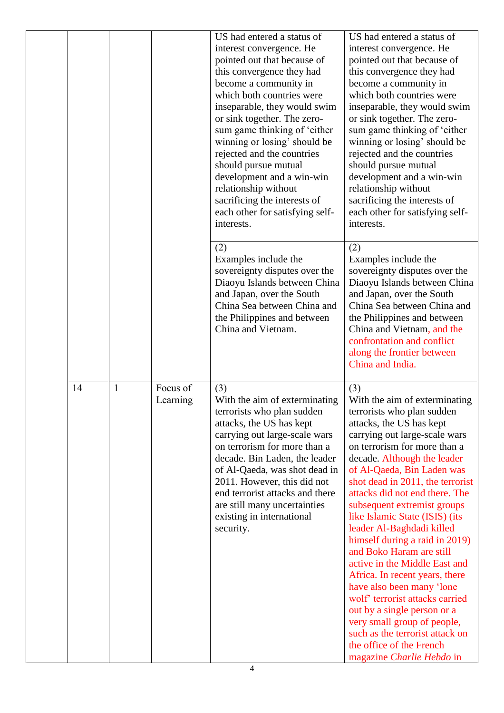|    |              |                      | US had entered a status of<br>interest convergence. He<br>pointed out that because of<br>this convergence they had<br>become a community in<br>which both countries were<br>inseparable, they would swim<br>or sink together. The zero-<br>sum game thinking of 'either<br>winning or losing' should be<br>rejected and the countries<br>should pursue mutual<br>development and a win-win<br>relationship without<br>sacrificing the interests of<br>each other for satisfying self-<br>interests. | US had entered a status of<br>interest convergence. He<br>pointed out that because of<br>this convergence they had<br>become a community in<br>which both countries were<br>inseparable, they would swim<br>or sink together. The zero-<br>sum game thinking of 'either<br>winning or losing' should be<br>rejected and the countries<br>should pursue mutual<br>development and a win-win<br>relationship without<br>sacrificing the interests of<br>each other for satisfying self-<br>interests.                                                                                                                                                                                                                                                         |
|----|--------------|----------------------|-----------------------------------------------------------------------------------------------------------------------------------------------------------------------------------------------------------------------------------------------------------------------------------------------------------------------------------------------------------------------------------------------------------------------------------------------------------------------------------------------------|-------------------------------------------------------------------------------------------------------------------------------------------------------------------------------------------------------------------------------------------------------------------------------------------------------------------------------------------------------------------------------------------------------------------------------------------------------------------------------------------------------------------------------------------------------------------------------------------------------------------------------------------------------------------------------------------------------------------------------------------------------------|
|    |              |                      | (2)<br>Examples include the<br>sovereignty disputes over the<br>Diaoyu Islands between China<br>and Japan, over the South<br>China Sea between China and<br>the Philippines and between<br>China and Vietnam.                                                                                                                                                                                                                                                                                       | (2)<br>Examples include the<br>sovereignty disputes over the<br>Diaoyu Islands between China<br>and Japan, over the South<br>China Sea between China and<br>the Philippines and between<br>China and Vietnam, and the<br>confrontation and conflict<br>along the frontier between<br>China and India.                                                                                                                                                                                                                                                                                                                                                                                                                                                       |
| 14 | $\mathbf{1}$ | Focus of<br>Learning | (3)<br>With the aim of exterminating<br>terrorists who plan sudden<br>attacks, the US has kept<br>carrying out large-scale wars<br>on terrorism for more than a<br>decade. Bin Laden, the leader<br>of Al-Qaeda, was shot dead in<br>2011. However, this did not<br>end terrorist attacks and there<br>are still many uncertainties<br>existing in international<br>security.                                                                                                                       | (3)<br>With the aim of exterminating<br>terrorists who plan sudden<br>attacks, the US has kept<br>carrying out large-scale wars<br>on terrorism for more than a<br>decade. Although the leader<br>of Al-Qaeda, Bin Laden was<br>shot dead in 2011, the terrorist<br>attacks did not end there. The<br>subsequent extremist groups<br>like Islamic State (ISIS) (its<br>leader Al-Baghdadi killed<br>himself during a raid in 2019)<br>and Boko Haram are still<br>active in the Middle East and<br>Africa. In recent years, there<br>have also been many 'lone<br>wolf' terrorist attacks carried<br>out by a single person or a<br>very small group of people,<br>such as the terrorist attack on<br>the office of the French<br>magazine Charlie Hebdo in |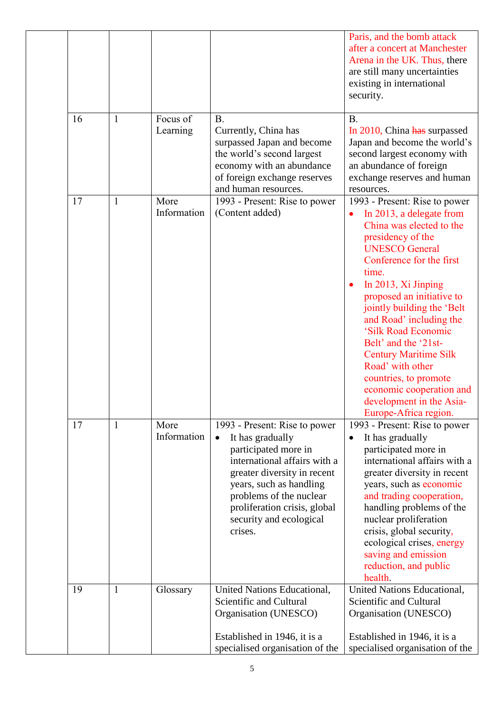|    |              |                      |                                                                                                                                                                                                                                                                      | Paris, and the bomb attack<br>after a concert at Manchester<br>Arena in the UK. Thus, there<br>are still many uncertainties<br>existing in international<br>security.                                                                                                                                                                                                                                                                                                                                           |
|----|--------------|----------------------|----------------------------------------------------------------------------------------------------------------------------------------------------------------------------------------------------------------------------------------------------------------------|-----------------------------------------------------------------------------------------------------------------------------------------------------------------------------------------------------------------------------------------------------------------------------------------------------------------------------------------------------------------------------------------------------------------------------------------------------------------------------------------------------------------|
| 16 | $\mathbf{1}$ | Focus of<br>Learning | <b>B.</b><br>Currently, China has<br>surpassed Japan and become<br>the world's second largest<br>economy with an abundance<br>of foreign exchange reserves<br>and human resources.                                                                                   | <b>B.</b><br>In 2010, China has surpassed<br>Japan and become the world's<br>second largest economy with<br>an abundance of foreign<br>exchange reserves and human<br>resources.                                                                                                                                                                                                                                                                                                                                |
| 17 | $\mathbf{1}$ | More<br>Information  | 1993 - Present: Rise to power<br>(Content added)                                                                                                                                                                                                                     | 1993 - Present: Rise to power<br>In 2013, a delegate from<br>China was elected to the<br>presidency of the<br><b>UNESCO General</b><br>Conference for the first<br>time.<br>In 2013, Xi Jinping<br>$\bullet$<br>proposed an initiative to<br>jointly building the 'Belt<br>and Road' including the<br>'Silk Road Economic<br>Belt' and the '21st-<br><b>Century Maritime Silk</b><br>Road' with other<br>countries, to promote<br>economic cooperation and<br>development in the Asia-<br>Europe-Africa region. |
| 17 | $\mathbf{1}$ | More<br>Information  | 1993 - Present: Rise to power<br>It has gradually<br>participated more in<br>international affairs with a<br>greater diversity in recent<br>years, such as handling<br>problems of the nuclear<br>proliferation crisis, global<br>security and ecological<br>crises. | 1993 - Present: Rise to power<br>It has gradually<br>$\bullet$<br>participated more in<br>international affairs with a<br>greater diversity in recent<br>years, such as economic<br>and trading cooperation,<br>handling problems of the<br>nuclear proliferation<br>crisis, global security,<br>ecological crises, energy<br>saving and emission<br>reduction, and public<br>health.                                                                                                                           |
| 19 | $\mathbf{1}$ | Glossary             | United Nations Educational,<br>Scientific and Cultural<br>Organisation (UNESCO)                                                                                                                                                                                      | United Nations Educational,<br>Scientific and Cultural<br>Organisation (UNESCO)                                                                                                                                                                                                                                                                                                                                                                                                                                 |
|    |              |                      | Established in 1946, it is a<br>specialised organisation of the                                                                                                                                                                                                      | Established in 1946, it is a<br>specialised organisation of the                                                                                                                                                                                                                                                                                                                                                                                                                                                 |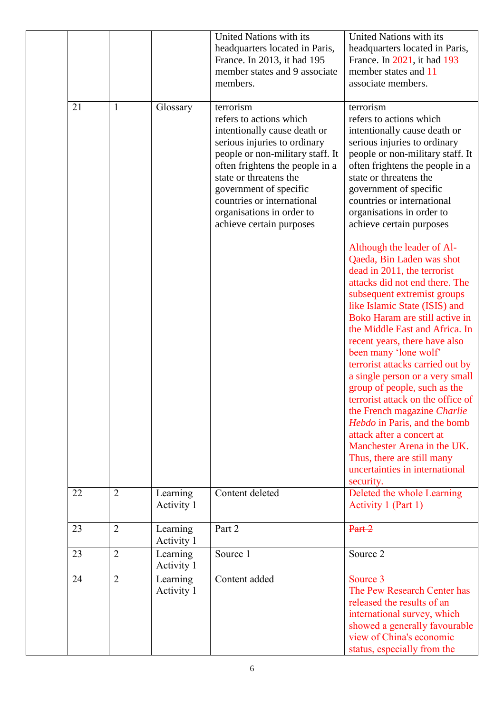|    |                |                        | United Nations with its<br>headquarters located in Paris,<br>France. In 2013, it had 195<br>member states and 9 associate<br>members.                                                                                                                                                                                  | United Nations with its<br>headquarters located in Paris,<br>France. In 2021, it had 193<br>member states and 11<br>associate members.                                                                                                                                                                                                                                                                                                                                                                                                                                                                                                                                     |
|----|----------------|------------------------|------------------------------------------------------------------------------------------------------------------------------------------------------------------------------------------------------------------------------------------------------------------------------------------------------------------------|----------------------------------------------------------------------------------------------------------------------------------------------------------------------------------------------------------------------------------------------------------------------------------------------------------------------------------------------------------------------------------------------------------------------------------------------------------------------------------------------------------------------------------------------------------------------------------------------------------------------------------------------------------------------------|
| 21 | $\mathbf{1}$   | Glossary               | terrorism<br>refers to actions which<br>intentionally cause death or<br>serious injuries to ordinary<br>people or non-military staff. It<br>often frightens the people in a<br>state or threatens the<br>government of specific<br>countries or international<br>organisations in order to<br>achieve certain purposes | terrorism<br>refers to actions which<br>intentionally cause death or<br>serious injuries to ordinary<br>people or non-military staff. It<br>often frightens the people in a<br>state or threatens the<br>government of specific<br>countries or international<br>organisations in order to<br>achieve certain purposes                                                                                                                                                                                                                                                                                                                                                     |
|    |                |                        |                                                                                                                                                                                                                                                                                                                        | Although the leader of Al-<br>Qaeda, Bin Laden was shot<br>dead in 2011, the terrorist<br>attacks did not end there. The<br>subsequent extremist groups<br>like Islamic State (ISIS) and<br>Boko Haram are still active in<br>the Middle East and Africa. In<br>recent years, there have also<br>been many 'lone wolf'<br>terrorist attacks carried out by<br>a single person or a very small<br>group of people, such as the<br>terrorist attack on the office of<br>the French magazine Charlie<br>Hebdo in Paris, and the bomb<br>attack after a concert at<br>Manchester Arena in the UK.<br>Thus, there are still many<br>uncertainties in international<br>security. |
| 22 | $\overline{2}$ | Learning<br>Activity 1 | Content deleted                                                                                                                                                                                                                                                                                                        | Deleted the whole Learning<br>Activity 1 (Part 1)                                                                                                                                                                                                                                                                                                                                                                                                                                                                                                                                                                                                                          |
| 23 | $\overline{2}$ | Learning<br>Activity 1 | Part 2                                                                                                                                                                                                                                                                                                                 | Part <sub>2</sub>                                                                                                                                                                                                                                                                                                                                                                                                                                                                                                                                                                                                                                                          |
| 23 | $\overline{2}$ | Learning<br>Activity 1 | Source 1                                                                                                                                                                                                                                                                                                               | Source 2                                                                                                                                                                                                                                                                                                                                                                                                                                                                                                                                                                                                                                                                   |
| 24 | $\overline{2}$ | Learning<br>Activity 1 | Content added                                                                                                                                                                                                                                                                                                          | Source 3<br>The Pew Research Center has<br>released the results of an<br>international survey, which<br>showed a generally favourable<br>view of China's economic<br>status, especially from the                                                                                                                                                                                                                                                                                                                                                                                                                                                                           |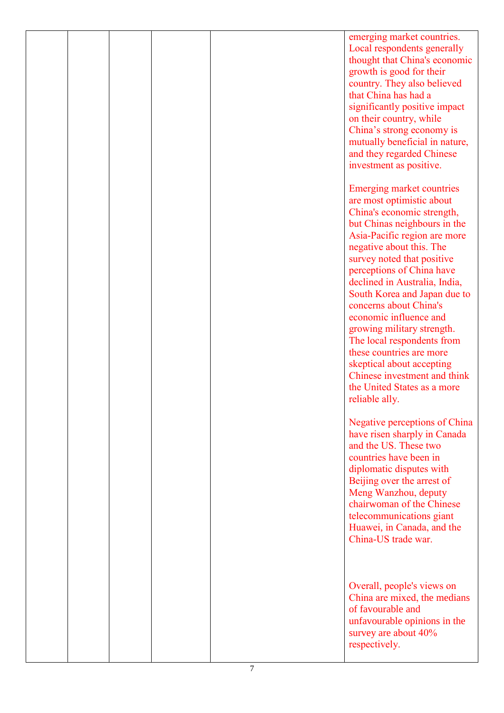|  |  | emerging market countries.       |
|--|--|----------------------------------|
|  |  | Local respondents generally      |
|  |  | thought that China's economic    |
|  |  | growth is good for their         |
|  |  | country. They also believed      |
|  |  | that China has had a             |
|  |  | significantly positive impact    |
|  |  | on their country, while          |
|  |  | China's strong economy is        |
|  |  | mutually beneficial in nature,   |
|  |  | and they regarded Chinese        |
|  |  |                                  |
|  |  | investment as positive.          |
|  |  |                                  |
|  |  | <b>Emerging market countries</b> |
|  |  | are most optimistic about        |
|  |  | China's economic strength,       |
|  |  | but Chinas neighbours in the     |
|  |  | Asia-Pacific region are more     |
|  |  | negative about this. The         |
|  |  | survey noted that positive       |
|  |  | perceptions of China have        |
|  |  | declined in Australia, India,    |
|  |  | South Korea and Japan due to     |
|  |  | concerns about China's           |
|  |  | economic influence and           |
|  |  | growing military strength.       |
|  |  | The local respondents from       |
|  |  | these countries are more         |
|  |  | skeptical about accepting        |
|  |  | Chinese investment and think     |
|  |  |                                  |
|  |  | the United States as a more      |
|  |  | reliable ally.                   |
|  |  |                                  |
|  |  | Negative perceptions of China    |
|  |  | have risen sharply in Canada     |
|  |  | and the US. These two            |
|  |  | countries have been in           |
|  |  | diplomatic disputes with         |
|  |  | Beijing over the arrest of       |
|  |  | Meng Wanzhou, deputy             |
|  |  | chairwoman of the Chinese        |
|  |  | telecommunications giant         |
|  |  | Huawei, in Canada, and the       |
|  |  | China-US trade war.              |
|  |  |                                  |
|  |  |                                  |
|  |  |                                  |
|  |  | Overall, people's views on       |
|  |  | China are mixed, the medians     |
|  |  | of favourable and                |
|  |  | unfavourable opinions in the     |
|  |  | survey are about 40%             |
|  |  | respectively.                    |
|  |  |                                  |
|  |  |                                  |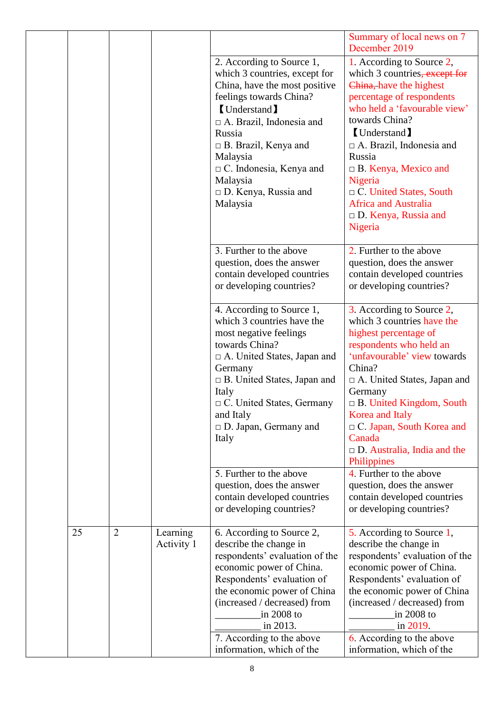| December 2019<br>1. According to Source 2,<br>2. According to Source 1,<br>which 3 countries, except for<br>China, have the most positive<br>China, have the highest<br>feelings towards China?<br>percentage of respondents<br><b>Understand</b><br>towards China?<br>$\Box$ A. Brazil, Indonesia and<br><b>Understand</b><br>Russia<br>$\Box$ A. Brazil, Indonesia and<br>$\Box$ B. Brazil, Kenya and<br>Russia<br>Malaysia<br>$\Box$ C. Indonesia, Kenya and<br>$\Box$ B. Kenya, Mexico and<br>Malaysia<br>Nigeria<br>$\Box$ D. Kenya, Russia and<br>$\Box$ C. United States, South<br><b>Africa and Australia</b><br>Malaysia<br>$\Box$ D. Kenya, Russia and<br>Nigeria<br>3. Further to the above<br>2. Further to the above<br>question, does the answer<br>question, does the answer<br>contain developed countries<br>or developing countries?<br>or developing countries?<br>4. According to Source 1,<br>3. According to Source 2,<br>which 3 countries have the<br>which 3 countries have the<br>most negative feelings<br>highest percentage of<br>towards China?<br>respondents who held an<br>$\Box$ A. United States, Japan and<br>China?<br>Germany<br>$\Box$ B. United States, Japan and<br>Italy<br>Germany<br>$\Box$ C. United States, Germany<br>and Italy<br>Korea and Italy<br>$\Box$ D. Japan, Germany and<br>Canada<br>Italy<br>Philippines<br>4. Further to the above<br>5. Further to the above<br>question, does the answer<br>question, does the answer<br>contain developed countries<br>or developing countries?<br>or developing countries?<br>$\overline{2}$<br>25<br>Learning<br>6. According to Source 2,<br>5. According to Source 1,<br>Activity 1<br>describe the change in<br>describe the change in<br>respondents' evaluation of the<br>economic power of China.<br>economic power of China.<br>Respondents' evaluation of |  |  |                             |                                                                                                                                                                           |
|--------------------------------------------------------------------------------------------------------------------------------------------------------------------------------------------------------------------------------------------------------------------------------------------------------------------------------------------------------------------------------------------------------------------------------------------------------------------------------------------------------------------------------------------------------------------------------------------------------------------------------------------------------------------------------------------------------------------------------------------------------------------------------------------------------------------------------------------------------------------------------------------------------------------------------------------------------------------------------------------------------------------------------------------------------------------------------------------------------------------------------------------------------------------------------------------------------------------------------------------------------------------------------------------------------------------------------------------------------------------------------------------------------------------------------------------------------------------------------------------------------------------------------------------------------------------------------------------------------------------------------------------------------------------------------------------------------------------------------------------------------------------------------------------------------------------------------------------------------------------|--|--|-----------------------------|---------------------------------------------------------------------------------------------------------------------------------------------------------------------------|
|                                                                                                                                                                                                                                                                                                                                                                                                                                                                                                                                                                                                                                                                                                                                                                                                                                                                                                                                                                                                                                                                                                                                                                                                                                                                                                                                                                                                                                                                                                                                                                                                                                                                                                                                                                                                                                                                    |  |  |                             | Summary of local news on 7                                                                                                                                                |
|                                                                                                                                                                                                                                                                                                                                                                                                                                                                                                                                                                                                                                                                                                                                                                                                                                                                                                                                                                                                                                                                                                                                                                                                                                                                                                                                                                                                                                                                                                                                                                                                                                                                                                                                                                                                                                                                    |  |  |                             | which 3 countries, except for<br>who held a 'favourable view'                                                                                                             |
|                                                                                                                                                                                                                                                                                                                                                                                                                                                                                                                                                                                                                                                                                                                                                                                                                                                                                                                                                                                                                                                                                                                                                                                                                                                                                                                                                                                                                                                                                                                                                                                                                                                                                                                                                                                                                                                                    |  |  |                             | contain developed countries                                                                                                                                               |
|                                                                                                                                                                                                                                                                                                                                                                                                                                                                                                                                                                                                                                                                                                                                                                                                                                                                                                                                                                                                                                                                                                                                                                                                                                                                                                                                                                                                                                                                                                                                                                                                                                                                                                                                                                                                                                                                    |  |  |                             | 'unfavourable' view towards<br>$\Box$ A. United States, Japan and<br>$\Box$ B. United Kingdom, South<br>□ C. Japan, South Korea and<br>$\Box$ D. Australia, India and the |
|                                                                                                                                                                                                                                                                                                                                                                                                                                                                                                                                                                                                                                                                                                                                                                                                                                                                                                                                                                                                                                                                                                                                                                                                                                                                                                                                                                                                                                                                                                                                                                                                                                                                                                                                                                                                                                                                    |  |  |                             | contain developed countries                                                                                                                                               |
| (increased / decreased) from<br>in 2008 to<br>in 2008 to<br>in 2013.<br>in 2019.<br>7. According to the above<br>6. According to the above<br>information, which of the<br>information, which of the                                                                                                                                                                                                                                                                                                                                                                                                                                                                                                                                                                                                                                                                                                                                                                                                                                                                                                                                                                                                                                                                                                                                                                                                                                                                                                                                                                                                                                                                                                                                                                                                                                                               |  |  | the economic power of China | respondents' evaluation of the<br>Respondents' evaluation of<br>the economic power of China<br>(increased / decreased) from                                               |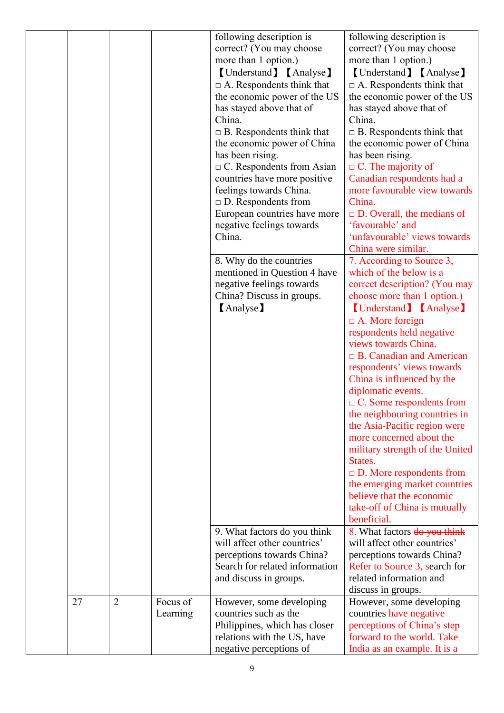|    |                |          | following description is         | following description is          |
|----|----------------|----------|----------------------------------|-----------------------------------|
|    |                |          |                                  |                                   |
|    |                |          | correct? (You may choose         | correct? (You may choose          |
|    |                |          | more than 1 option.)             | more than 1 option.)              |
|    |                |          | [Understand] [Analyse]           | [Understand] [Analyse]            |
|    |                |          | $\Box$ A. Respondents think that | $\Box$ A. Respondents think that  |
|    |                |          | the economic power of the US     | the economic power of the US      |
|    |                |          | has stayed above that of         | has stayed above that of          |
|    |                |          | China.                           | China.                            |
|    |                |          | $\Box$ B. Respondents think that | $\Box$ B. Respondents think that  |
|    |                |          | the economic power of China      | the economic power of China       |
|    |                |          | has been rising.                 | has been rising.                  |
|    |                |          |                                  |                                   |
|    |                |          | $\Box$ C. Respondents from Asian | $\Box$ C. The majority of         |
|    |                |          | countries have more positive     | Canadian respondents had a        |
|    |                |          | feelings towards China.          | more favourable view towards      |
|    |                |          | $\Box$ D. Respondents from       | China.                            |
|    |                |          | European countries have more     | $\Box$ D. Overall, the medians of |
|    |                |          | negative feelings towards        | 'favourable' and                  |
|    |                |          | China.                           | 'unfavourable' views towards      |
|    |                |          |                                  | China were similar.               |
|    |                |          | 8. Why do the countries          | 7. According to Source 3,         |
|    |                |          | mentioned in Question 4 have     | which of the below is a           |
|    |                |          | negative feelings towards        | correct description? (You may     |
|    |                |          |                                  |                                   |
|    |                |          | China? Discuss in groups.        | choose more than 1 option.)       |
|    |                |          | (Analyse)                        | [Understand] [Analyse]            |
|    |                |          |                                  | $\Box$ A. More foreign            |
|    |                |          |                                  | respondents held negative         |
|    |                |          |                                  | views towards China.              |
|    |                |          |                                  | $\Box$ B. Canadian and American   |
|    |                |          |                                  | respondents' views towards        |
|    |                |          |                                  | China is influenced by the        |
|    |                |          |                                  | diplomatic events.                |
|    |                |          |                                  |                                   |
|    |                |          |                                  | $\Box$ C. Some respondents from   |
|    |                |          |                                  | the neighbouring countries in     |
|    |                |          |                                  | the Asia-Pacific region were      |
|    |                |          |                                  | more concerned about the          |
|    |                |          |                                  | military strength of the United   |
|    |                |          |                                  | States.                           |
|    |                |          |                                  | $\Box$ D. More respondents from   |
|    |                |          |                                  | the emerging market countries     |
|    |                |          |                                  | believe that the economic         |
|    |                |          |                                  | take-off of China is mutually     |
|    |                |          |                                  | beneficial.                       |
|    |                |          |                                  |                                   |
|    |                |          | 9. What factors do you think     | 8. What factors do you think      |
|    |                |          | will affect other countries'     | will affect other countries'      |
|    |                |          | perceptions towards China?       | perceptions towards China?        |
|    |                |          | Search for related information   | Refer to Source 3, search for     |
|    |                |          | and discuss in groups.           | related information and           |
|    |                |          |                                  | discuss in groups.                |
| 27 | $\overline{2}$ | Focus of | However, some developing         | However, some developing          |
|    |                | Learning | countries such as the            | countries have negative           |
|    |                |          | Philippines, which has closer    | perceptions of China's step       |
|    |                |          | relations with the US, have      | forward to the world. Take        |
|    |                |          | negative perceptions of          | India as an example. It is a      |
|    |                |          |                                  |                                   |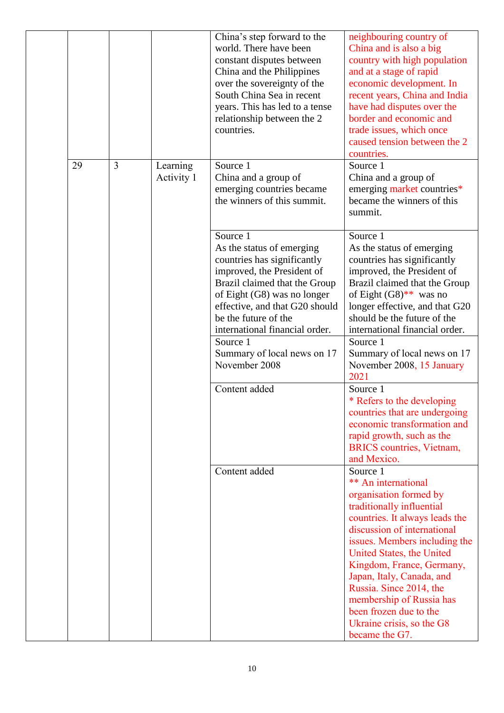|    |   |                        | China's step forward to the<br>world. There have been<br>constant disputes between<br>China and the Philippines<br>over the sovereignty of the<br>South China Sea in recent<br>years. This has led to a tense<br>relationship between the 2<br>countries.                                                                                   | neighbouring country of<br>China and is also a big<br>country with high population<br>and at a stage of rapid<br>economic development. In<br>recent years, China and India<br>have had disputes over the<br>border and economic and<br>trade issues, which once<br>caused tension between the 2<br>countries.                                                                                                   |
|----|---|------------------------|---------------------------------------------------------------------------------------------------------------------------------------------------------------------------------------------------------------------------------------------------------------------------------------------------------------------------------------------|-----------------------------------------------------------------------------------------------------------------------------------------------------------------------------------------------------------------------------------------------------------------------------------------------------------------------------------------------------------------------------------------------------------------|
| 29 | 3 | Learning<br>Activity 1 | Source 1<br>China and a group of<br>emerging countries became<br>the winners of this summit.                                                                                                                                                                                                                                                | Source 1<br>China and a group of<br>emerging market countries*<br>became the winners of this<br>summit.                                                                                                                                                                                                                                                                                                         |
|    |   |                        | Source 1<br>As the status of emerging<br>countries has significantly<br>improved, the President of<br>Brazil claimed that the Group<br>of Eight (G8) was no longer<br>effective, and that G20 should<br>be the future of the<br>international financial order.<br>Source 1<br>Summary of local news on 17<br>November 2008<br>Content added | Source 1<br>As the status of emerging<br>countries has significantly<br>improved, the President of<br>Brazil claimed that the Group<br>of Eight $(G8)$ ** was no<br>longer effective, and that G20<br>should be the future of the<br>international financial order.<br>Source 1<br>Summary of local news on 17<br>November 2008, 15 January<br>2021<br>Source 1<br>* Refers to the developing                   |
|    |   |                        |                                                                                                                                                                                                                                                                                                                                             | countries that are undergoing<br>economic transformation and<br>rapid growth, such as the<br><b>BRICS</b> countries, Vietnam,<br>and Mexico.                                                                                                                                                                                                                                                                    |
|    |   |                        | Content added                                                                                                                                                                                                                                                                                                                               | Source 1<br>** An international<br>organisation formed by<br>traditionally influential<br>countries. It always leads the<br>discussion of international<br>issues. Members including the<br>United States, the United<br>Kingdom, France, Germany,<br>Japan, Italy, Canada, and<br>Russia. Since 2014, the<br>membership of Russia has<br>been frozen due to the<br>Ukraine crisis, so the G8<br>became the G7. |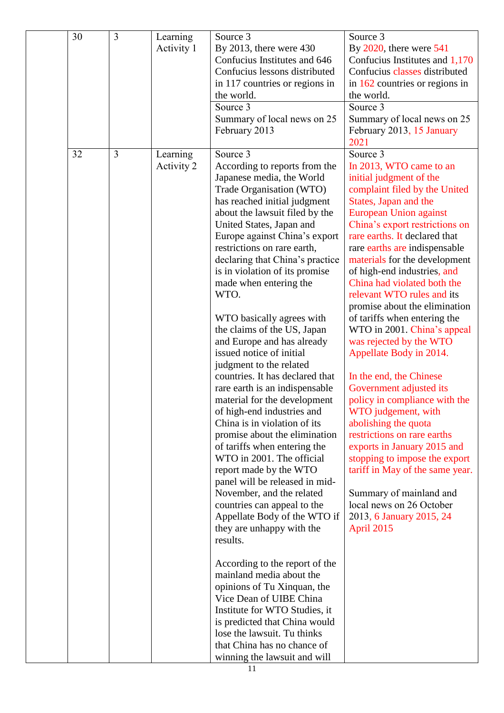| 30 | $\overline{3}$ | Learning<br>Activity 1 | Source 3<br>By 2013, there were $430$<br>Confucius Institutes and 646<br>Confucius lessons distributed<br>in 117 countries or regions in<br>the world.<br>Source 3<br>Summary of local news on 25<br>February 2013                                                                                                                                                                                                                                                                                                                                                                                                                                                                                                                                                                                                                                                                                                                                                                                                                                                                                                                                                                                                                                                                 | Source 3<br>By $2020$ , there were $541$<br>Confucius Institutes and 1,170<br>Confucius classes distributed<br>in $162$ countries or regions in<br>the world.<br>Source 3<br>Summary of local news on 25<br>February 2013, 15 January<br>2021                                                                                                                                                                                                                                                                                                                                                                                                                                                                                                                                                                                                                                                                             |
|----|----------------|------------------------|------------------------------------------------------------------------------------------------------------------------------------------------------------------------------------------------------------------------------------------------------------------------------------------------------------------------------------------------------------------------------------------------------------------------------------------------------------------------------------------------------------------------------------------------------------------------------------------------------------------------------------------------------------------------------------------------------------------------------------------------------------------------------------------------------------------------------------------------------------------------------------------------------------------------------------------------------------------------------------------------------------------------------------------------------------------------------------------------------------------------------------------------------------------------------------------------------------------------------------------------------------------------------------|---------------------------------------------------------------------------------------------------------------------------------------------------------------------------------------------------------------------------------------------------------------------------------------------------------------------------------------------------------------------------------------------------------------------------------------------------------------------------------------------------------------------------------------------------------------------------------------------------------------------------------------------------------------------------------------------------------------------------------------------------------------------------------------------------------------------------------------------------------------------------------------------------------------------------|
| 32 | $\overline{3}$ | Learning<br>Activity 2 | Source 3<br>According to reports from the<br>Japanese media, the World<br>Trade Organisation (WTO)<br>has reached initial judgment<br>about the lawsuit filed by the<br>United States, Japan and<br>Europe against China's export<br>restrictions on rare earth,<br>declaring that China's practice<br>is in violation of its promise<br>made when entering the<br>WTO.<br>WTO basically agrees with<br>the claims of the US, Japan<br>and Europe and has already<br>issued notice of initial<br>judgment to the related<br>countries. It has declared that<br>rare earth is an indispensable<br>material for the development<br>of high-end industries and<br>China is in violation of its<br>promise about the elimination<br>of tariffs when entering the<br>WTO in 2001. The official<br>report made by the WTO<br>panel will be released in mid-<br>November, and the related<br>countries can appeal to the<br>Appellate Body of the WTO if<br>they are unhappy with the<br>results.<br>According to the report of the<br>mainland media about the<br>opinions of Tu Xinquan, the<br>Vice Dean of UIBE China<br>Institute for WTO Studies, it<br>is predicted that China would<br>lose the lawsuit. Tu thinks<br>that China has no chance of<br>winning the lawsuit and will | Source 3<br>In 2013, WTO came to an<br>initial judgment of the<br>complaint filed by the United<br>States, Japan and the<br><b>European Union against</b><br>China's export restrictions on<br>rare earths. It declared that<br>rare earths are indispensable<br>materials for the development<br>of high-end industries, and<br>China had violated both the<br>relevant WTO rules and its<br>promise about the elimination<br>of tariffs when entering the<br>WTO in 2001. China's appeal<br>was rejected by the WTO<br>Appellate Body in 2014.<br>In the end, the Chinese<br>Government adjusted its<br>policy in compliance with the<br>WTO judgement, with<br>abolishing the quota<br>restrictions on rare earths<br>exports in January 2015 and<br>stopping to impose the export<br>tariff in May of the same year.<br>Summary of mainland and<br>local news on 26 October<br>2013, 6 January 2015, 24<br>April 2015 |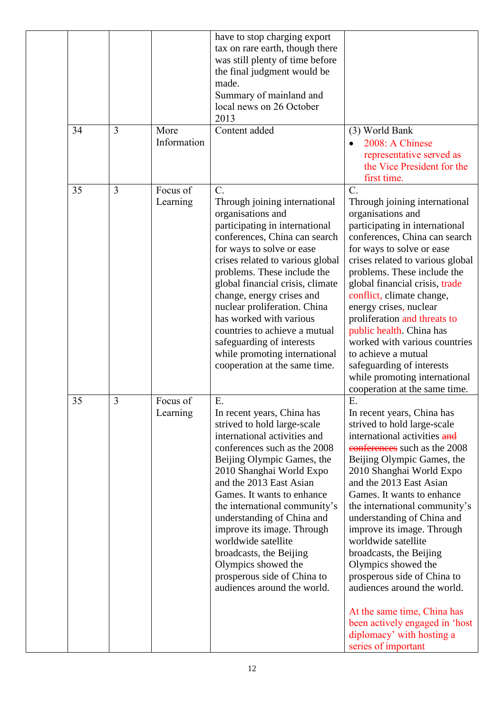|    |                |                      | have to stop charging export<br>tax on rare earth, though there<br>was still plenty of time before<br>the final judgment would be<br>made.<br>Summary of mainland and<br>local news on 26 October<br>2013                                                                                                                                                                                                                                                                                        |                                                                                                                                                                                                                                                                                                                                                                                                                                                                                                                                                                                                             |
|----|----------------|----------------------|--------------------------------------------------------------------------------------------------------------------------------------------------------------------------------------------------------------------------------------------------------------------------------------------------------------------------------------------------------------------------------------------------------------------------------------------------------------------------------------------------|-------------------------------------------------------------------------------------------------------------------------------------------------------------------------------------------------------------------------------------------------------------------------------------------------------------------------------------------------------------------------------------------------------------------------------------------------------------------------------------------------------------------------------------------------------------------------------------------------------------|
| 34 | $\overline{3}$ | More<br>Information  | Content added                                                                                                                                                                                                                                                                                                                                                                                                                                                                                    | (3) World Bank<br>2008: A Chinese<br>representative served as<br>the Vice President for the<br>first time.                                                                                                                                                                                                                                                                                                                                                                                                                                                                                                  |
| 35 | 3              | Focus of<br>Learning | $C_{\cdot}$<br>Through joining international<br>organisations and<br>participating in international<br>conferences, China can search<br>for ways to solve or ease<br>crises related to various global<br>problems. These include the<br>global financial crisis, climate<br>change, energy crises and<br>nuclear proliferation. China<br>has worked with various<br>countries to achieve a mutual<br>safeguarding of interests<br>while promoting international<br>cooperation at the same time. | $\mathcal{C}$ .<br>Through joining international<br>organisations and<br>participating in international<br>conferences, China can search<br>for ways to solve or ease<br>crises related to various global<br>problems. These include the<br>global financial crisis, trade<br>conflict, climate change,<br>energy crises, nuclear<br>proliferation and threats to<br>public health. China has<br>worked with various countries<br>to achieve a mutual<br>safeguarding of interests<br>while promoting international<br>cooperation at the same time.                                                        |
| 35 | 3              | Focus of<br>Learning | E.<br>In recent years, China has<br>strived to hold large-scale<br>international activities and<br>conferences such as the 2008<br>Beijing Olympic Games, the<br>2010 Shanghai World Expo<br>and the 2013 East Asian<br>Games. It wants to enhance<br>the international community's<br>understanding of China and<br>improve its image. Through<br>worldwide satellite<br>broadcasts, the Beijing<br>Olympics showed the<br>prosperous side of China to<br>audiences around the world.           | E.<br>In recent years, China has<br>strived to hold large-scale<br>international activities and<br>conferences such as the 2008<br>Beijing Olympic Games, the<br>2010 Shanghai World Expo<br>and the 2013 East Asian<br>Games. It wants to enhance<br>the international community's<br>understanding of China and<br>improve its image. Through<br>worldwide satellite<br>broadcasts, the Beijing<br>Olympics showed the<br>prosperous side of China to<br>audiences around the world.<br>At the same time, China has<br>been actively engaged in 'host<br>diplomacy' with hosting a<br>series of important |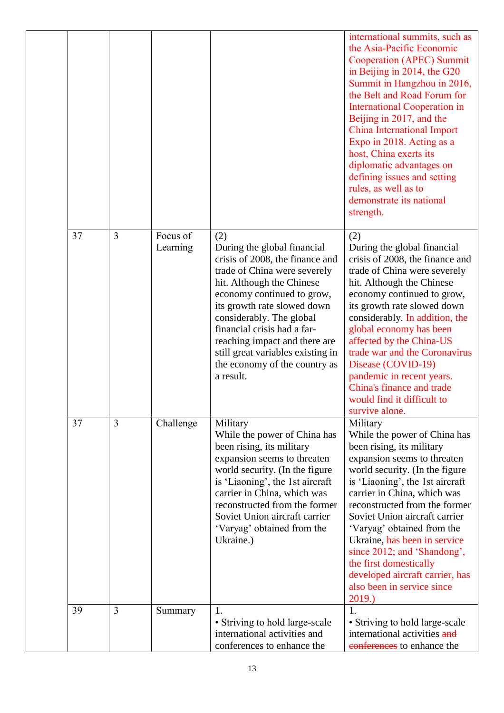|    |   |                      |                                                                                                                                                                                                                                                                                                                                                                                | international summits, such as<br>the Asia-Pacific Economic<br>Cooperation (APEC) Summit<br>in Beijing in 2014, the G20<br>Summit in Hangzhou in 2016,<br>the Belt and Road Forum for<br><b>International Cooperation in</b><br>Beijing in 2017, and the<br><b>China International Import</b><br>Expo in 2018. Acting as a<br>host, China exerts its<br>diplomatic advantages on<br>defining issues and setting<br>rules, as well as to<br>demonstrate its national<br>strength. |
|----|---|----------------------|--------------------------------------------------------------------------------------------------------------------------------------------------------------------------------------------------------------------------------------------------------------------------------------------------------------------------------------------------------------------------------|----------------------------------------------------------------------------------------------------------------------------------------------------------------------------------------------------------------------------------------------------------------------------------------------------------------------------------------------------------------------------------------------------------------------------------------------------------------------------------|
| 37 | 3 | Focus of<br>Learning | (2)<br>During the global financial<br>crisis of 2008, the finance and<br>trade of China were severely<br>hit. Although the Chinese<br>economy continued to grow,<br>its growth rate slowed down<br>considerably. The global<br>financial crisis had a far-<br>reaching impact and there are<br>still great variables existing in<br>the economy of the country as<br>a result. | (2)<br>During the global financial<br>crisis of 2008, the finance and<br>trade of China were severely<br>hit. Although the Chinese<br>economy continued to grow,<br>its growth rate slowed down<br>considerably. In addition, the<br>global economy has been<br>affected by the China-US<br>trade war and the Coronavirus<br>Disease (COVID-19)<br>pandemic in recent years.<br>China's finance and trade<br>would find it difficult to<br>survive alone.                        |
| 37 | 3 | Challenge            | Military<br>While the power of China has<br>been rising, its military<br>expansion seems to threaten<br>world security. (In the figure<br>is 'Liaoning', the 1st aircraft<br>carrier in China, which was<br>reconstructed from the former<br>Soviet Union aircraft carrier<br>'Varyag' obtained from the<br>Ukraine.)                                                          | Military<br>While the power of China has<br>been rising, its military<br>expansion seems to threaten<br>world security. (In the figure<br>is 'Liaoning', the 1st aircraft<br>carrier in China, which was<br>reconstructed from the former<br>Soviet Union aircraft carrier<br>'Varyag' obtained from the<br>Ukraine, has been in service<br>since 2012; and 'Shandong',<br>the first domestically<br>developed aircraft carrier, has<br>also been in service since<br>2019.)     |
| 39 | 3 | Summary              | 1.<br>• Striving to hold large-scale<br>international activities and<br>conferences to enhance the                                                                                                                                                                                                                                                                             | 1.<br>• Striving to hold large-scale<br>international activities and<br>conferences to enhance the                                                                                                                                                                                                                                                                                                                                                                               |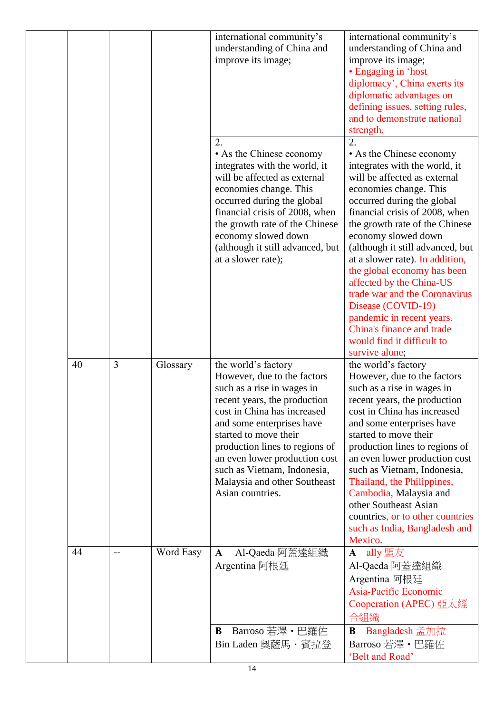|    |                |           | international community's<br>understanding of China and<br>improve its image;                                                                                                                                                                                                                                                                               | international community's<br>understanding of China and<br>improve its image;<br>• Engaging in 'host<br>diplomacy', China exerts its<br>diplomatic advantages on<br>defining issues, setting rules,<br>and to demonstrate national<br>strength.                                                                                                                                                                                                                                                                                                       |
|----|----------------|-----------|-------------------------------------------------------------------------------------------------------------------------------------------------------------------------------------------------------------------------------------------------------------------------------------------------------------------------------------------------------------|-------------------------------------------------------------------------------------------------------------------------------------------------------------------------------------------------------------------------------------------------------------------------------------------------------------------------------------------------------------------------------------------------------------------------------------------------------------------------------------------------------------------------------------------------------|
|    |                |           | 2.<br>• As the Chinese economy<br>integrates with the world, it<br>will be affected as external<br>economies change. This<br>occurred during the global<br>financial crisis of 2008, when<br>the growth rate of the Chinese<br>economy slowed down<br>(although it still advanced, but<br>at a slower rate);                                                | 2.<br>• As the Chinese economy<br>integrates with the world, it<br>will be affected as external<br>economies change. This<br>occurred during the global<br>financial crisis of 2008, when<br>the growth rate of the Chinese<br>economy slowed down<br>(although it still advanced, but<br>at a slower rate). In addition,<br>the global economy has been<br>affected by the China-US<br>trade war and the Coronavirus<br>Disease (COVID-19)<br>pandemic in recent years.<br>China's finance and trade<br>would find it difficult to<br>survive alone; |
| 40 | $\overline{3}$ | Glossary  | the world's factory<br>However, due to the factors<br>such as a rise in wages in<br>recent years, the production<br>cost in China has increased<br>and some enterprises have<br>started to move their<br>production lines to regions of<br>an even lower production cost<br>such as Vietnam, Indonesia,<br>Malaysia and other Southeast<br>Asian countries. | the world's factory<br>However, due to the factors<br>such as a rise in wages in<br>recent years, the production<br>cost in China has increased<br>and some enterprises have<br>started to move their<br>production lines to regions of<br>an even lower production cost<br>such as Vietnam, Indonesia,<br>Thailand, the Philippines,<br>Cambodia, Malaysia and<br>other Southeast Asian<br>countries, or to other countries<br>such as India, Bangladesh and<br>Mexico.                                                                              |
| 44 |                | Word Easy | Al-Qaeda 阿蓋達組織<br>$\mathbf A$<br>Argentina 阿根廷<br>Barroso 若澤 · 巴羅佐<br>B<br>Bin Laden 奧薩馬・賓拉登                                                                                                                                                                                                                                                                | ally 盟友<br>$\mathbf A$<br>Al-Qaeda 阿蓋達組織<br>Argentina 阿根廷<br>Asia-Pacific Economic<br>Cooperation (APEC) 亞太經<br>合組織<br>Bangladesh 孟加拉<br>B<br>Barroso 若澤 · 巴羅佐<br>'Belt and Road'                                                                                                                                                                                                                                                                                                                                                                     |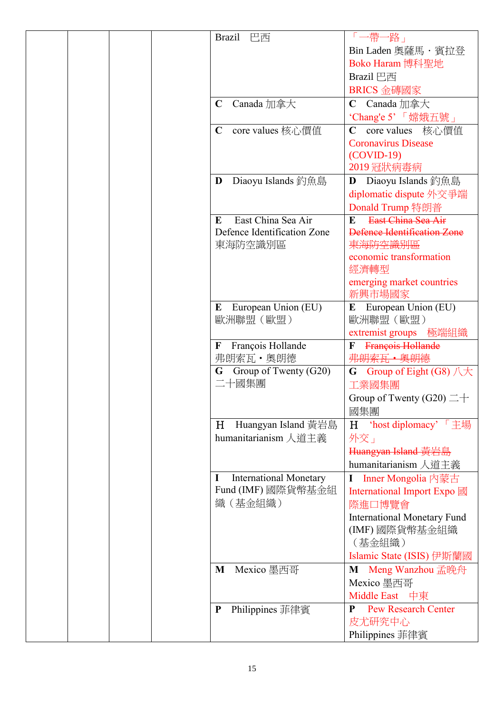| 巴西<br><b>Brazil</b>                | 「一帶一路」                              |
|------------------------------------|-------------------------------------|
|                                    | Bin Laden 奧薩馬·賓拉登                   |
|                                    | Boko Haram 博科聖地                     |
|                                    | Brazil 巴西                           |
|                                    | BRICS 金磚國家                          |
| $\mathbf C$<br>Canada 加拿大          | Canada 加拿大<br>$\mathbf C$           |
|                                    | 'Chang'e 5' 「嫦娥五號」                  |
| $\mathbf C$<br>core values 核心價值    | core values 核心價值<br>$\mathbf C$     |
|                                    | <b>Coronavirus Disease</b>          |
|                                    | $(COVID-19)$                        |
|                                    | 2019 冠狀病毒病                          |
| Diaoyu Islands 釣魚島<br>D            | Diaoyu Islands 釣魚島<br>D             |
|                                    | diplomatic dispute 外交爭端             |
|                                    | Donald Trump 特朗普                    |
| East China Sea Air<br>E            | East China Sea Air<br>E             |
| Defence Identification Zone        | Defence Identification Zone         |
| 東海防空識別區                            | 東海防空識別區                             |
|                                    | economic transformation             |
|                                    | 經濟轉型                                |
|                                    | emerging market countries<br>新興市場國家 |
| European Union (EU)<br>E           | European Union (EU)<br>E            |
| 歐洲聯盟 (歐盟)                          | 歐洲聯盟 (歐盟)                           |
|                                    | 極端組織<br>extremist groups            |
| François Hollande<br>$\mathbf F$   | François Hollande<br>F              |
| 弗朗索瓦·奧朗德                           | 弗朗索瓦 · 奥朗德                          |
| Group of Twenty (G20)<br>G         | Group of Eight (G8) 八大<br>G         |
| 二十國集團                              | 工業國集團                               |
|                                    | Group of Twenty (G20) $\equiv$ +    |
|                                    | 國集團                                 |
| Huangyan Island 黃岩島<br>H           | H 'host diplomacy' 「主場              |
| humanitarianism 人道主義               | 外交」                                 |
|                                    | Huangyan Island 黃岩島                 |
|                                    | humanitarianism 人道主義                |
| <b>International Monetary</b><br>1 | Inner Mongolia 內蒙古                  |
| Fund (IMF) 國際貨幣基金組                 | International Import Expo 國         |
| 織(基金組織)                            | 際進口博覽會                              |
|                                    | <b>International Monetary Fund</b>  |
|                                    | (IMF) 國際貨幣基金組織                      |
|                                    | (基金組織)                              |
|                                    | Islamic State (ISIS) 伊斯蘭國           |
| Mexico 墨西哥<br>M                    | Meng Wanzhou 孟晚舟<br>M               |
|                                    | Mexico 墨西哥                          |
|                                    | Middle East 中東                      |
| Philippines 菲律賓<br>$\mathbf P$     | <b>Pew Research Center</b><br>P     |
|                                    | 皮尤研究中心                              |
|                                    | Philippines 菲律賓                     |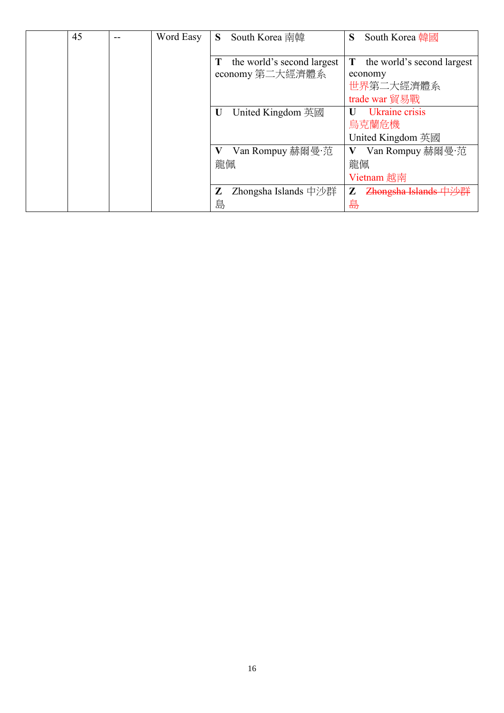| 45 | Word Easy | S.     | South Korea 南韓                                | S      | South Korea 韓國                                                      |
|----|-----------|--------|-----------------------------------------------|--------|---------------------------------------------------------------------|
|    |           | Т      | the world's second largest<br>economy 第二大經濟體系 | T      | the world's second largest<br>economy<br>世界第二大經濟體系<br>trade war 貿易戰 |
|    |           | U      | United Kingdom 英國                             |        | Ukraine crisis<br>烏克蘭危機<br>United Kingdom 英國                        |
|    |           | 龍佩     | Van Rompuy 赫爾曼·范                              | 龍佩     | Van Rompuy 赫爾曼·范<br>Vietnam 越南                                      |
|    |           | Z<br>島 | Zhongsha Islands 中沙群                          | Z<br>島 | Zhongsha Islands 中沙群                                                |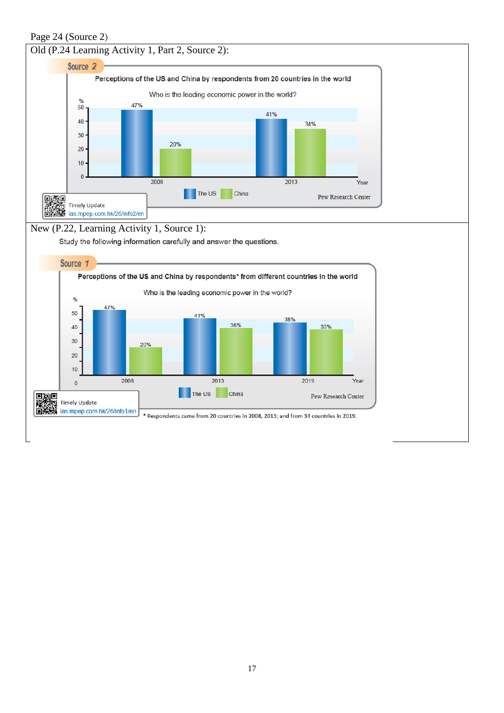Page 24 (Source 2)

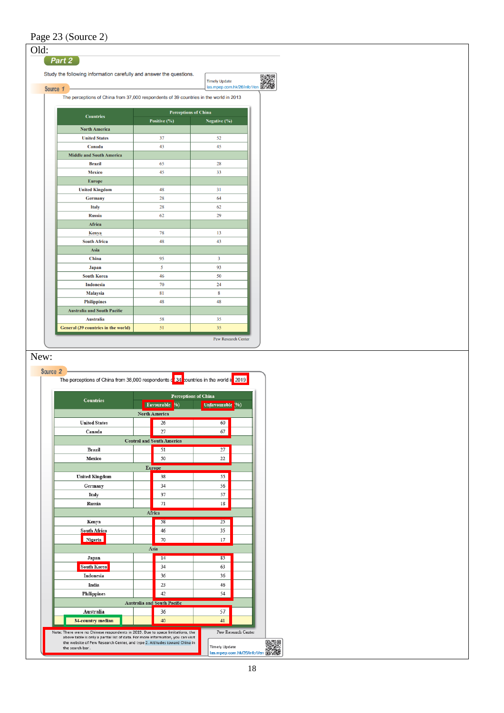| Study the following information carefully and answer the questions.<br>Source 1                                                                                                      |                                        | <b>Timely Update</b><br>las.mpep.com.hk/26/info1/en 回 |  |
|--------------------------------------------------------------------------------------------------------------------------------------------------------------------------------------|----------------------------------------|-------------------------------------------------------|--|
| The perceptions of China from 37,000 respondents of 39 countries in the world in 2013                                                                                                |                                        |                                                       |  |
| <b>Countries</b>                                                                                                                                                                     | <b>Perceptions of China</b>            |                                                       |  |
|                                                                                                                                                                                      | Positive (%)                           | Negative (%)                                          |  |
| <b>North America</b>                                                                                                                                                                 |                                        |                                                       |  |
| <b>United States</b><br>Canada                                                                                                                                                       | 37<br>43                               | 52<br>45                                              |  |
| <b>Middle and South America</b>                                                                                                                                                      |                                        |                                                       |  |
| <b>Brazil</b>                                                                                                                                                                        | 65                                     | 28                                                    |  |
| <b>Mexico</b>                                                                                                                                                                        | 45                                     | 33                                                    |  |
| <b>Europe</b>                                                                                                                                                                        |                                        |                                                       |  |
| <b>United Kingdom</b>                                                                                                                                                                | 48                                     | 31                                                    |  |
| Germany                                                                                                                                                                              | 28                                     | 64                                                    |  |
| <b>Italy</b>                                                                                                                                                                         | 28                                     | 62                                                    |  |
| <b>Russia</b>                                                                                                                                                                        | 62                                     | 29                                                    |  |
| Africa                                                                                                                                                                               |                                        |                                                       |  |
| Kenya                                                                                                                                                                                | 78                                     | 13                                                    |  |
| <b>South Africa</b>                                                                                                                                                                  | 48                                     | 43                                                    |  |
| Asia                                                                                                                                                                                 |                                        |                                                       |  |
| China                                                                                                                                                                                | 95                                     | 3                                                     |  |
| <b>Japan</b>                                                                                                                                                                         | 5                                      | 93                                                    |  |
| <b>South Korea</b>                                                                                                                                                                   | 46                                     | 50                                                    |  |
| <b>Indonesia</b>                                                                                                                                                                     | 70                                     | 24                                                    |  |
| <b>Malaysia</b>                                                                                                                                                                      | 81                                     | 8                                                     |  |
| <b>Philippines</b>                                                                                                                                                                   | 48                                     | 48                                                    |  |
|                                                                                                                                                                                      |                                        |                                                       |  |
| <b>Australia and South Pacific</b>                                                                                                                                                   |                                        |                                                       |  |
| <b>Australia</b>                                                                                                                                                                     | 58                                     | 35                                                    |  |
|                                                                                                                                                                                      | 51                                     | 35<br>Pew Research Center                             |  |
| General (39 countries in the world)<br>Source <sub>2</sub><br>The perceptions of China from 38,000 respondents $\frac{1}{2}$ $\frac{1}{2}$ cuntries in the world it $\frac{1}{2019}$ |                                        |                                                       |  |
| <b>Countries</b>                                                                                                                                                                     |                                        | Perceptions of China                                  |  |
|                                                                                                                                                                                      | Favourable<br>$y_0$                    | Unfavourable<br>(96)                                  |  |
|                                                                                                                                                                                      | North America                          |                                                       |  |
| <b>United States</b>                                                                                                                                                                 | 26                                     | 60                                                    |  |
| Canada                                                                                                                                                                               | 27                                     | 67                                                    |  |
| <b>Brazil</b>                                                                                                                                                                        | <b>Central and South America</b><br>51 | 27                                                    |  |
| Mexico                                                                                                                                                                               | 50                                     | 22                                                    |  |
|                                                                                                                                                                                      |                                        |                                                       |  |
|                                                                                                                                                                                      | Europe<br>38                           | 55                                                    |  |
| <b>United Kingdom</b>                                                                                                                                                                | 34                                     | 56                                                    |  |
| Germany                                                                                                                                                                              |                                        |                                                       |  |
| Italy<br>Russia                                                                                                                                                                      | 37<br>71                               | 57<br>18                                              |  |
|                                                                                                                                                                                      |                                        |                                                       |  |
| Kenya                                                                                                                                                                                | Africa<br>58                           | 25                                                    |  |
|                                                                                                                                                                                      | 46                                     | 35                                                    |  |
| South Africa<br>Nigeria                                                                                                                                                              | 70                                     | 17                                                    |  |
|                                                                                                                                                                                      | Asia                                   |                                                       |  |
| Japan                                                                                                                                                                                | 14                                     | 85                                                    |  |
| <b>South Korea</b>                                                                                                                                                                   | 34                                     | 63                                                    |  |
| Indonesia                                                                                                                                                                            | 36                                     | 36                                                    |  |
| India                                                                                                                                                                                | 23                                     | 46                                                    |  |
| <b>Philippines</b>                                                                                                                                                                   | 42                                     | 54                                                    |  |
|                                                                                                                                                                                      | <b>Australia and South Pacific</b>     |                                                       |  |
| Australia                                                                                                                                                                            | 36                                     | 57                                                    |  |